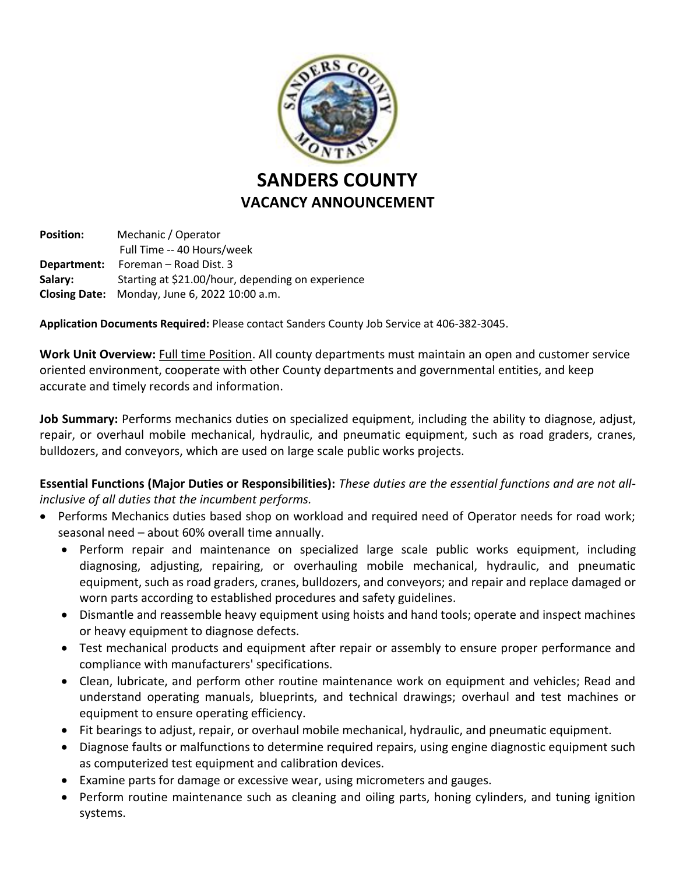

**Position:** Mechanic / Operator Full Time -- 40 Hours/week **Department:** Foreman – Road Dist. 3 **Salary:** Starting at \$21.00/hour, depending on experience **Closing Date:** Monday, June 6, 2022 10:00 a.m.

**Application Documents Required:** Please contact Sanders County Job Service at 406-382-3045.

**Work Unit Overview:** Full time Position. All county departments must maintain an open and customer service oriented environment, cooperate with other County departments and governmental entities, and keep accurate and timely records and information.

**Job Summary:** Performs mechanics duties on specialized equipment, including the ability to diagnose, adjust, repair, or overhaul mobile mechanical, hydraulic, and pneumatic equipment, such as road graders, cranes, bulldozers, and conveyors, which are used on large scale public works projects.

**Essential Functions (Major Duties or Responsibilities):** *These duties are the essential functions and are not allinclusive of all duties that the incumbent performs.*

- Performs Mechanics duties based shop on workload and required need of Operator needs for road work; seasonal need – about 60% overall time annually.
	- Perform repair and maintenance on specialized large scale public works equipment, including diagnosing, adjusting, repairing, or overhauling mobile mechanical, hydraulic, and pneumatic equipment, such as road graders, cranes, bulldozers, and conveyors; and repair and replace damaged or worn parts according to established procedures and safety guidelines.
	- Dismantle and reassemble heavy equipment using hoists and hand tools; operate and inspect machines or heavy equipment to diagnose defects.
	- Test mechanical products and equipment after repair or assembly to ensure proper performance and compliance with manufacturers' specifications.
	- Clean, lubricate, and perform other routine maintenance work on equipment and vehicles; Read and understand operating manuals, blueprints, and technical drawings; overhaul and test machines or equipment to ensure operating efficiency.
	- Fit bearings to adjust, repair, or overhaul mobile mechanical, hydraulic, and pneumatic equipment.
	- Diagnose faults or malfunctions to determine required repairs, using engine diagnostic equipment such as computerized test equipment and calibration devices.
	- Examine parts for damage or excessive wear, using micrometers and gauges.
	- Perform routine maintenance such as cleaning and oiling parts, honing cylinders, and tuning ignition systems.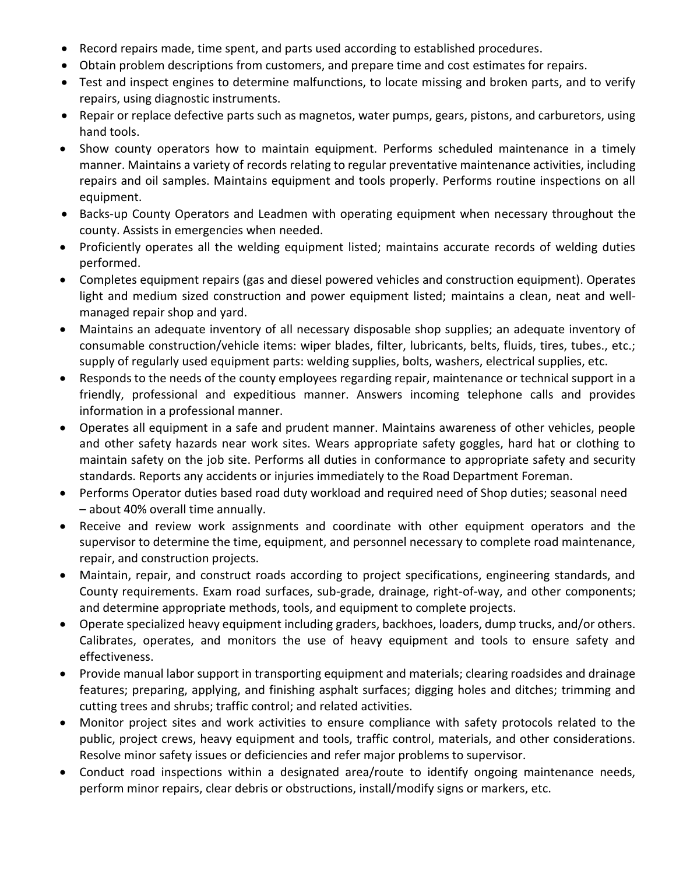- Record repairs made, time spent, and parts used according to established procedures.
- Obtain problem descriptions from customers, and prepare time and cost estimates for repairs.
- Test and inspect engines to determine malfunctions, to locate missing and broken parts, and to verify repairs, using diagnostic instruments.
- Repair or replace defective parts such as magnetos, water pumps, gears, pistons, and carburetors, using hand tools.
- Show county operators how to maintain equipment. Performs scheduled maintenance in a timely manner. Maintains a variety of records relating to regular preventative maintenance activities, including repairs and oil samples. Maintains equipment and tools properly. Performs routine inspections on all equipment.
- Backs-up County Operators and Leadmen with operating equipment when necessary throughout the county. Assists in emergencies when needed.
- Proficiently operates all the welding equipment listed; maintains accurate records of welding duties performed.
- Completes equipment repairs (gas and diesel powered vehicles and construction equipment). Operates light and medium sized construction and power equipment listed; maintains a clean, neat and wellmanaged repair shop and yard.
- Maintains an adequate inventory of all necessary disposable shop supplies; an adequate inventory of consumable construction/vehicle items: wiper blades, filter, lubricants, belts, fluids, tires, tubes., etc.; supply of regularly used equipment parts: welding supplies, bolts, washers, electrical supplies, etc.
- Responds to the needs of the county employees regarding repair, maintenance or technical support in a friendly, professional and expeditious manner. Answers incoming telephone calls and provides information in a professional manner.
- Operates all equipment in a safe and prudent manner. Maintains awareness of other vehicles, people and other safety hazards near work sites. Wears appropriate safety goggles, hard hat or clothing to maintain safety on the job site. Performs all duties in conformance to appropriate safety and security standards. Reports any accidents or injuries immediately to the Road Department Foreman.
- Performs Operator duties based road duty workload and required need of Shop duties; seasonal need – about 40% overall time annually.
- Receive and review work assignments and coordinate with other equipment operators and the supervisor to determine the time, equipment, and personnel necessary to complete road maintenance, repair, and construction projects.
- Maintain, repair, and construct roads according to project specifications, engineering standards, and County requirements. Exam road surfaces, sub-grade, drainage, right-of-way, and other components; and determine appropriate methods, tools, and equipment to complete projects.
- Operate specialized heavy equipment including graders, backhoes, loaders, dump trucks, and/or others. Calibrates, operates, and monitors the use of heavy equipment and tools to ensure safety and effectiveness.
- Provide manual labor support in transporting equipment and materials; clearing roadsides and drainage features; preparing, applying, and finishing asphalt surfaces; digging holes and ditches; trimming and cutting trees and shrubs; traffic control; and related activities.
- Monitor project sites and work activities to ensure compliance with safety protocols related to the public, project crews, heavy equipment and tools, traffic control, materials, and other considerations. Resolve minor safety issues or deficiencies and refer major problems to supervisor.
- Conduct road inspections within a designated area/route to identify ongoing maintenance needs, perform minor repairs, clear debris or obstructions, install/modify signs or markers, etc.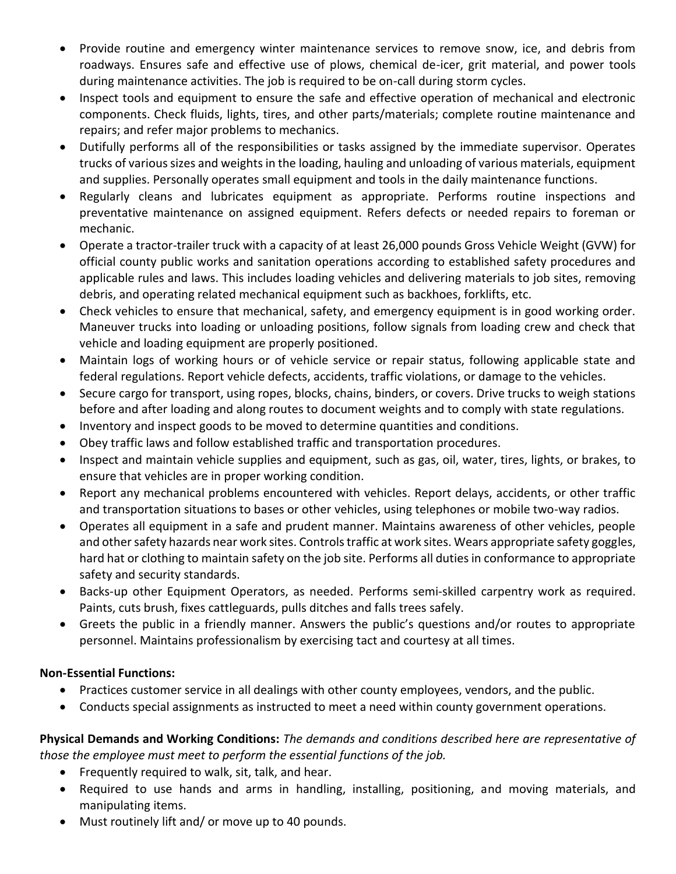- Provide routine and emergency winter maintenance services to remove snow, ice, and debris from roadways. Ensures safe and effective use of plows, chemical de-icer, grit material, and power tools during maintenance activities. The job is required to be on-call during storm cycles.
- Inspect tools and equipment to ensure the safe and effective operation of mechanical and electronic components. Check fluids, lights, tires, and other parts/materials; complete routine maintenance and repairs; and refer major problems to mechanics.
- Dutifully performs all of the responsibilities or tasks assigned by the immediate supervisor. Operates trucks of various sizes and weights in the loading, hauling and unloading of various materials, equipment and supplies. Personally operates small equipment and tools in the daily maintenance functions.
- Regularly cleans and lubricates equipment as appropriate. Performs routine inspections and preventative maintenance on assigned equipment. Refers defects or needed repairs to foreman or mechanic.
- Operate a tractor-trailer truck with a capacity of at least 26,000 pounds Gross Vehicle Weight (GVW) for official county public works and sanitation operations according to established safety procedures and applicable rules and laws. This includes loading vehicles and delivering materials to job sites, removing debris, and operating related mechanical equipment such as backhoes, forklifts, etc.
- Check vehicles to ensure that mechanical, safety, and emergency equipment is in good working order. Maneuver trucks into loading or unloading positions, follow signals from loading crew and check that vehicle and loading equipment are properly positioned.
- Maintain logs of working hours or of vehicle service or repair status, following applicable state and federal regulations. Report vehicle defects, accidents, traffic violations, or damage to the vehicles.
- Secure cargo for transport, using ropes, blocks, chains, binders, or covers. Drive trucks to weigh stations before and after loading and along routes to document weights and to comply with state regulations.
- Inventory and inspect goods to be moved to determine quantities and conditions.
- Obey traffic laws and follow established traffic and transportation procedures.
- Inspect and maintain vehicle supplies and equipment, such as gas, oil, water, tires, lights, or brakes, to ensure that vehicles are in proper working condition.
- Report any mechanical problems encountered with vehicles. Report delays, accidents, or other traffic and transportation situations to bases or other vehicles, using telephones or mobile two-way radios.
- Operates all equipment in a safe and prudent manner. Maintains awareness of other vehicles, people and other safety hazards near work sites. Controls traffic at work sites. Wears appropriate safety goggles, hard hat or clothing to maintain safety on the job site. Performs all duties in conformance to appropriate safety and security standards.
- Backs-up other Equipment Operators, as needed. Performs semi-skilled carpentry work as required. Paints, cuts brush, fixes cattleguards, pulls ditches and falls trees safely.
- Greets the public in a friendly manner. Answers the public's questions and/or routes to appropriate personnel. Maintains professionalism by exercising tact and courtesy at all times.

## **Non-Essential Functions:**

- Practices customer service in all dealings with other county employees, vendors, and the public.
- Conducts special assignments as instructed to meet a need within county government operations.

**Physical Demands and Working Conditions:** *The demands and conditions described here are representative of those the employee must meet to perform the essential functions of the job.*

- Frequently required to walk, sit, talk, and hear.
- Required to use hands and arms in handling, installing, positioning, and moving materials, and manipulating items.
- Must routinely lift and/ or move up to 40 pounds.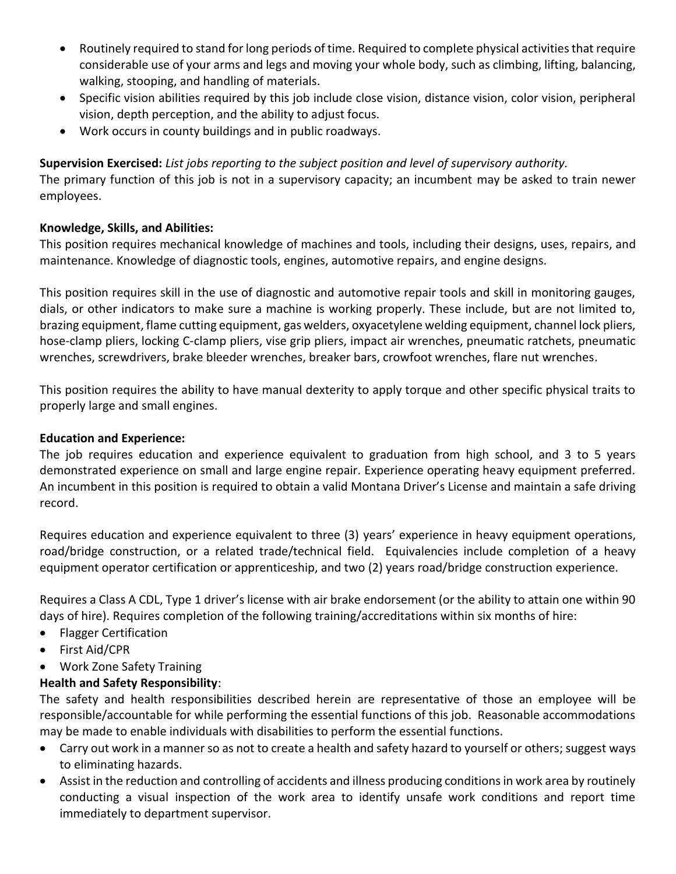- Routinely required to stand for long periods of time. Required to complete physical activities that require considerable use of your arms and legs and moving your whole body, such as climbing, lifting, balancing, walking, stooping, and handling of materials.
- Specific vision abilities required by this job include close vision, distance vision, color vision, peripheral vision, depth perception, and the ability to adjust focus.
- Work occurs in county buildings and in public roadways.

**Supervision Exercised:** *List jobs reporting to the subject position and level of supervisory authority.*

The primary function of this job is not in a supervisory capacity; an incumbent may be asked to train newer employees.

## **Knowledge, Skills, and Abilities:**

This position requires mechanical knowledge of machines and tools, including their designs, uses, repairs, and maintenance. Knowledge of diagnostic tools, engines, automotive repairs, and engine designs.

This position requires skill in the use of diagnostic and automotive repair tools and skill in monitoring gauges, dials, or other indicators to make sure a machine is working properly. These include, but are not limited to, brazing equipment, flame cutting equipment, gas welders, oxyacetylene welding equipment, channel lock pliers, hose-clamp pliers, locking C-clamp pliers, vise grip pliers, impact air wrenches, pneumatic ratchets, pneumatic wrenches, screwdrivers, brake bleeder wrenches, breaker bars, crowfoot wrenches, flare nut wrenches.

This position requires the ability to have manual dexterity to apply torque and other specific physical traits to properly large and small engines.

## **Education and Experience:**

The job requires education and experience equivalent to graduation from high school, and 3 to 5 years demonstrated experience on small and large engine repair. Experience operating heavy equipment preferred. An incumbent in this position is required to obtain a valid Montana Driver's License and maintain a safe driving record.

Requires education and experience equivalent to three (3) years' experience in heavy equipment operations, road/bridge construction, or a related trade/technical field. Equivalencies include completion of a heavy equipment operator certification or apprenticeship, and two (2) years road/bridge construction experience.

Requires a Class A CDL, Type 1 driver's license with air brake endorsement (or the ability to attain one within 90 days of hire). Requires completion of the following training/accreditations within six months of hire:

- Flagger Certification
- First Aid/CPR
- Work Zone Safety Training

## **Health and Safety Responsibility**:

The safety and health responsibilities described herein are representative of those an employee will be responsible/accountable for while performing the essential functions of this job. Reasonable accommodations may be made to enable individuals with disabilities to perform the essential functions.

- Carry out work in a manner so as not to create a health and safety hazard to yourself or others; suggest ways to eliminating hazards.
- Assist in the reduction and controlling of accidents and illness producing conditions in work area by routinely conducting a visual inspection of the work area to identify unsafe work conditions and report time immediately to department supervisor.